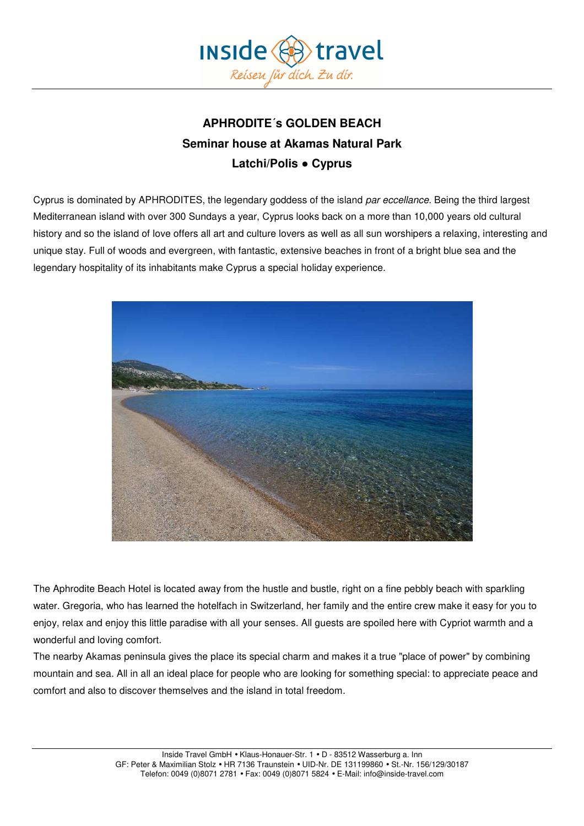

# **APHRODITE´s GOLDEN BEACH Seminar house at Akamas Natural Park Latchi/Polis ● Cyprus**

Cyprus is dominated by APHRODITES, the legendary goddess of the island par eccellance. Being the third largest Mediterranean island with over 300 Sundays a year, Cyprus looks back on a more than 10,000 years old cultural history and so the island of love offers all art and culture lovers as well as all sun worshipers a relaxing, interesting and unique stay. Full of woods and evergreen, with fantastic, extensive beaches in front of a bright blue sea and the legendary hospitality of its inhabitants make Cyprus a special holiday experience.



The Aphrodite Beach Hotel is located away from the hustle and bustle, right on a fine pebbly beach with sparkling water. Gregoria, who has learned the hotelfach in Switzerland, her family and the entire crew make it easy for you to enjoy, relax and enjoy this little paradise with all your senses. All guests are spoiled here with Cypriot warmth and a wonderful and loving comfort.

The nearby Akamas peninsula gives the place its special charm and makes it a true "place of power" by combining mountain and sea. All in all an ideal place for people who are looking for something special: to appreciate peace and comfort and also to discover themselves and the island in total freedom.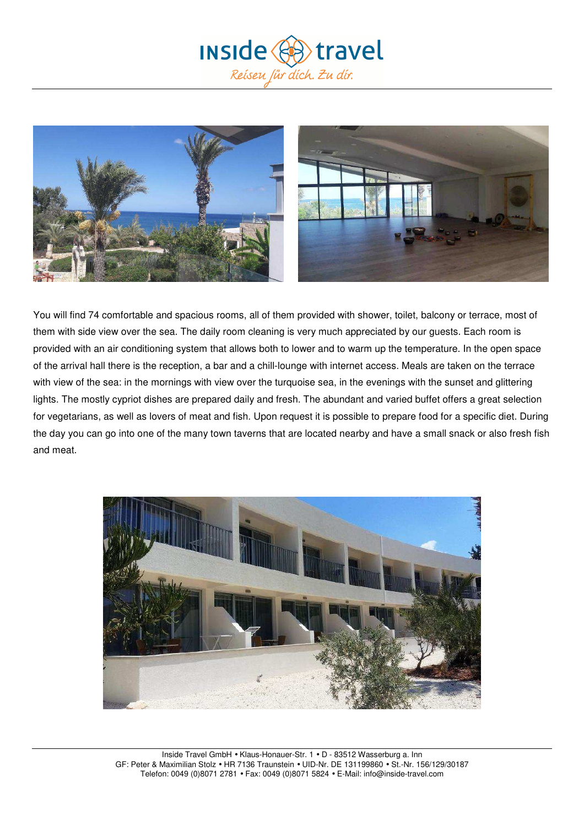



You will find 74 comfortable and spacious rooms, all of them provided with shower, toilet, balcony or terrace, most of them with side view over the sea. The daily room cleaning is very much appreciated by our guests. Each room is provided with an air conditioning system that allows both to lower and to warm up the temperature. In the open space of the arrival hall there is the reception, a bar and a chill-lounge with internet access. Meals are taken on the terrace with view of the sea: in the mornings with view over the turquoise sea, in the evenings with the sunset and glittering lights. The mostly cypriot dishes are prepared daily and fresh. The abundant and varied buffet offers a great selection for vegetarians, as well as lovers of meat and fish. Upon request it is possible to prepare food for a specific diet. During the day you can go into one of the many town taverns that are located nearby and have a small snack or also fresh fish and meat.